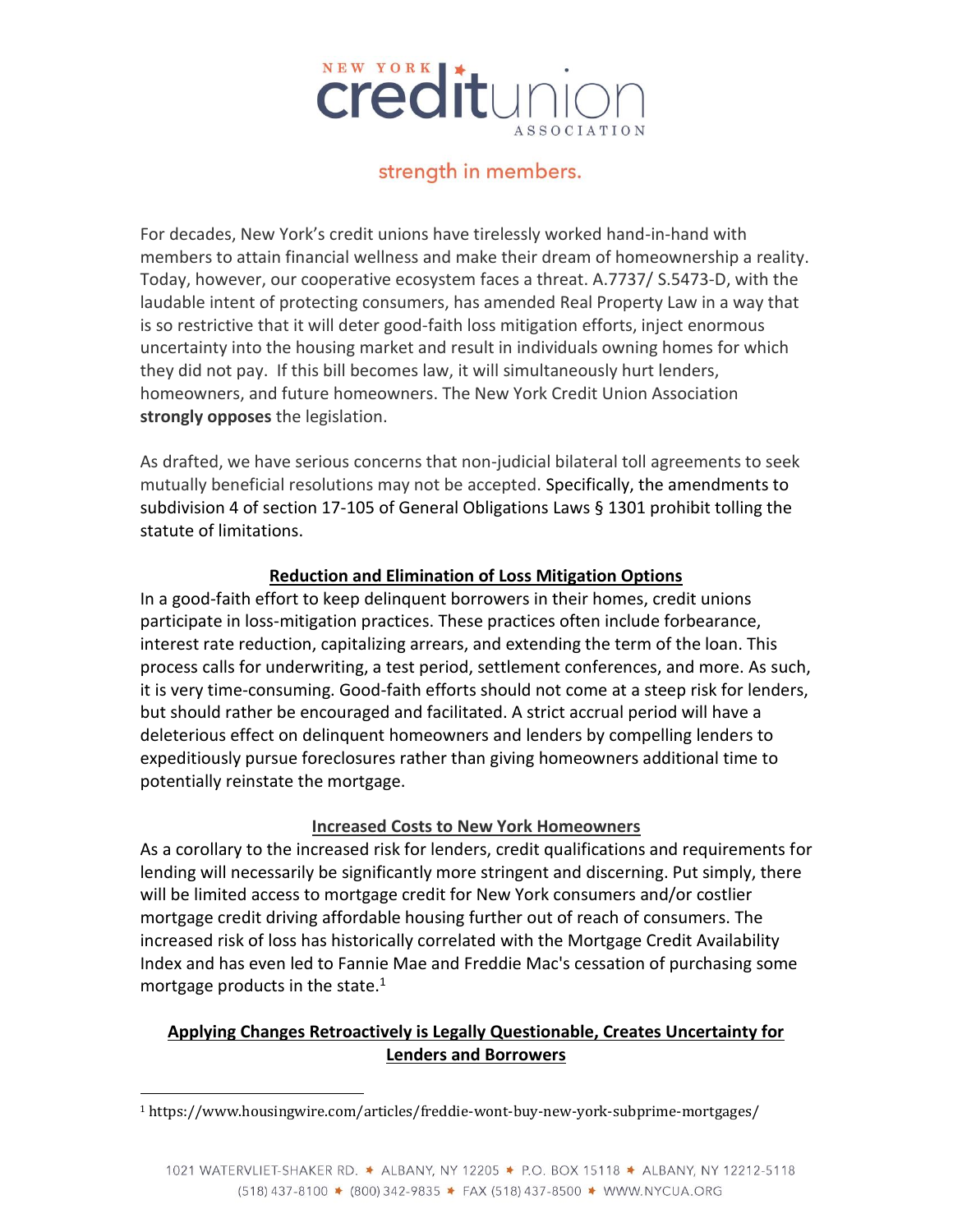

## strength in members.

For decades, New York's credit unions have tirelessly worked hand-in-hand with members to attain financial wellness and make their dream of homeownership a reality. Today, however, our cooperative ecosystem faces a threat. A.7737/ S.5473-D, with the laudable intent of protecting consumers, has amended Real Property Law in a way that is so restrictive that it will deter good-faith loss mitigation efforts, inject enormous uncertainty into the housing market and result in individuals owning homes for which they did not pay. If this bill becomes law, it will simultaneously hurt lenders, homeowners, and future homeowners. The New York Credit Union Association **strongly opposes** the legislation.

As drafted, we have serious concerns that non-judicial bilateral toll agreements to seek mutually beneficial resolutions may not be accepted. Specifically, the amendments to subdivision 4 of section 17-105 of General Obligations Laws § 1301 prohibit tolling the statute of limitations.

## **Reduction and Elimination of Loss Mitigation Options**

In a good-faith effort to keep delinquent borrowers in their homes, credit unions participate in loss-mitigation practices. These practices often include forbearance, interest rate reduction, capitalizing arrears, and extending the term of the loan. This process calls for underwriting, a test period, settlement conferences, and more. As such, it is very time-consuming. Good-faith efforts should not come at a steep risk for lenders, but should rather be encouraged and facilitated. A strict accrual period will have a deleterious effect on delinquent homeowners and lenders by compelling lenders to expeditiously pursue foreclosures rather than giving homeowners additional time to potentially reinstate the mortgage.

## **Increased Costs to New York Homeowners**

As a corollary to the increased risk for lenders, credit qualifications and requirements for lending will necessarily be significantly more stringent and discerning. Put simply, there will be limited access to mortgage credit for New York consumers and/or costlier mortgage credit driving affordable housing further out of reach of consumers. The increased risk of loss has historically correlated with the Mortgage Credit Availability Index and has even led to Fannie Mae and Freddie Mac's cessation of purchasing some mortgage products in the state. $1$ 

## **Applying Changes Retroactively is Legally Questionable, Creates Uncertainty for Lenders and Borrowers**

<sup>1</sup> https://www.housingwire.com/articles/freddie-wont-buy-new-york-subprime-mortgages/